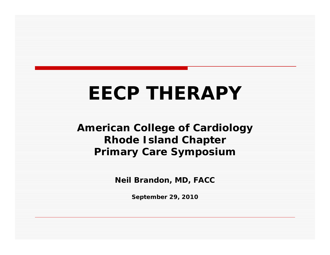# **EECP THERAPY**

**American College of Cardiology Rhode Island Chapter Primary Care Symposium**

**Neil Brandon, MD, FACC**

**September 29, 2010**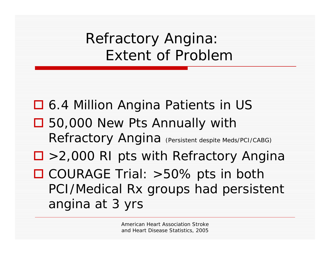#### Refractory Angina: Extent of Problem

□ 6.4 Million Angina Patients in US ■ 50,000 New Pts Annually with Refractory Angina (Persistent despite Meds/PCI/CABG) □ > 2,000 RI pts with Refractory Angina □ COURAGE Trial: >50% pts in both PCI/Medical Rx groups had persistent angina at 3 yrs

> American Heart Association Stroke and Heart Disease Statistics, 2005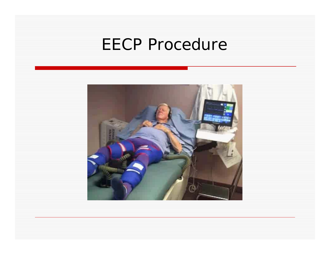### EECP Procedure

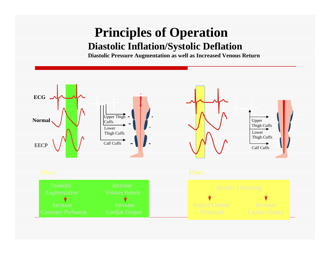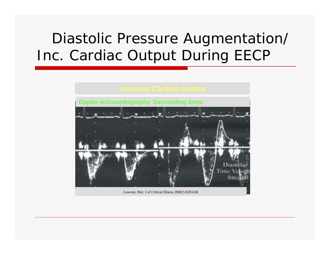#### Diastolic Pressure Augmentation/ Inc. Cardiac Output During EECP



Lawson, Hui: J of Critical Illness 2000;5:629-636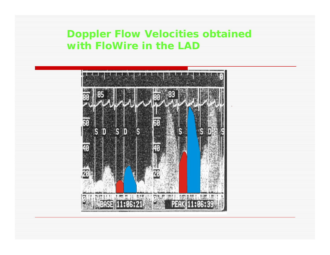#### **Doppler Flow Velocities obtained with FloWire in the LAD**

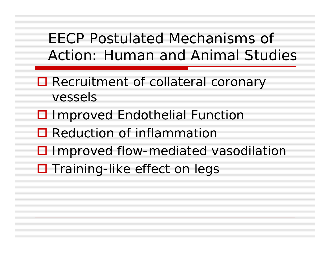EECP Postulated Mechanisms of Action: Human and Animal Studies

- **□ Recruitment of collateral coronary** vessels
- □ Improved Endothelial Function
- **□** Reduction of inflammation
- □ Improved flow-mediated vasodilation
- □ Training-like effect on legs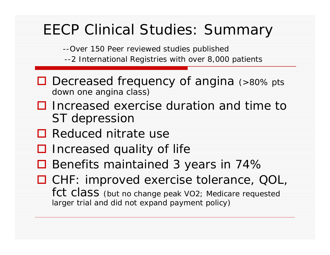| <b>EECP Clinical Studies: Summary</b>                                                                                                                |
|------------------------------------------------------------------------------------------------------------------------------------------------------|
| --Over 150 Peer reviewed studies published<br>--2 International Registries with over 8,000 patients                                                  |
| $\Box$ Decreased frequency of angina (>80% pts<br>down one angina class)                                                                             |
| $\Box$ Increased exercise duration and time to<br>ST depression                                                                                      |
| $\Box$ Reduced nitrate use                                                                                                                           |
| $\Box$ Increased quality of life                                                                                                                     |
| $\Box$ Benefits maintained 3 years in 74%                                                                                                            |
| □ CHF: improved exercise tolerance, QOL,<br>fct class (but no change peak VO2; Medicare requested<br>larger trial and did not expand payment policy) |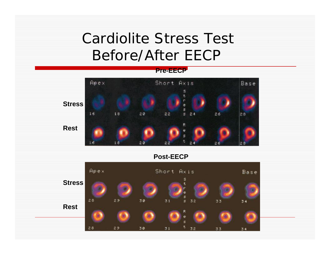#### Cardiolite Stress Test Before/After EECP

#### **Pre-EECP**



**Post-EECP**

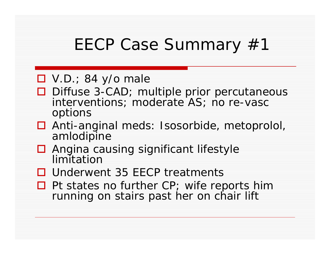## EECP Case Summary #1

#### $\Box$  V.D.; 84 y/o male

- □ Diffuse 3-CAD; multiple prior percutaneous interventions; moderate AS; no re-vasc options
- Anti-anginal meds: Isosorbide, metoprolol, amlodipine
- **□** Angina causing significant lifestyle limitation
- **□** Underwent 35 EECP treatments
- $\Box$  Pt states no further CP; wife reports him running on stairs past her on chair lift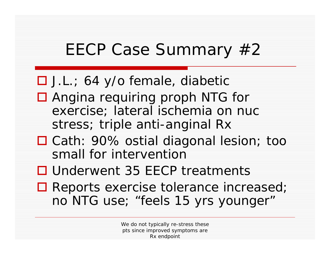## EECP Case Summary #2

#### J.L.; 64 y/o female, diabetic

- Angina requiring proph NTG for exercise; lateral ischemia on nuc stress; triple anti-anginal Rx
- Cath: 90% ostial diagonal lesion; too small for intervention
- □ Underwent 35 EECP treatments
- **□ Reports exercise tolerance increased;** no NTG use; "feels 15 yrs younger"

We do not typically re-stress these pts since improved symptoms are Rx endpoint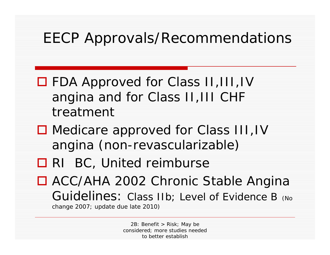#### EECP Approvals/Recommendations

- □ FDA Approved for Class II, III, IV angina and for Class II,III CHF treatment
- Medicare approved for Class III, IV angina (non-revascularizable)
- **Q** RI BC, United reimburse
- □ ACC/AHA 2002 Chronic Stable Angina Guidelines: Class IIb; Level of Evidence B (No change 2007; update due late 2010)

2B: Benefit > Risk; May be considered; more studies needed to better establish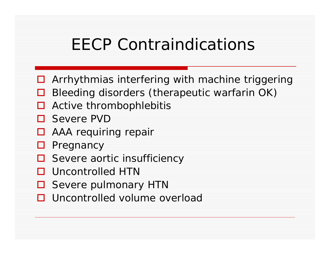### EECP Contraindications

- **□** Arrhythmias interfering with machine triggering
- $\Box$ Bleeding disorders (therapeutic warfarin OK)
- □ Active thrombophlebitis
- □ Severe PVD
- □ AAA requiring repair
- **O** Pregnancy
- □ Severe aortic insufficiency
- **□** Uncontrolled HTN
- □ Severe pulmonary HTN
- **Q** Uncontrolled volume overload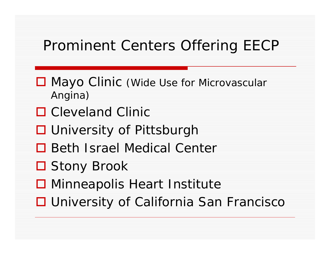#### Prominent Centers Offering EECP

- Mayo Clinic (Wide Use for Microvascular Angina)
- □ Cleveland Clinic
- **□ University of Pittsburght**
- □ Beth Israel Medical Center
- **□ Stony Brook**
- **□ Minneapolis Heart Institute**
- **□ University of California San Francisco**